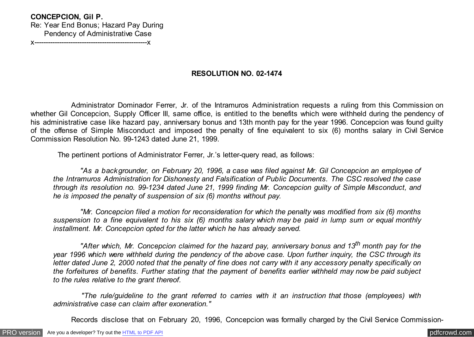## **CONCEPCION, Gil P.**

Re: Year End Bonus; Hazard Pay During Pendency of Administrative Case

x--------------------------------------------------x

# **RESOLUTION NO. 02-1474**

 Administrator Dominador Ferrer, Jr. of the Intramuros Administration requests a ruling from this Commission on whether Gil Concepcion, Supply Officer III, same office, is entitled to the benefits which were withheld during the pendency of his administrative case like hazard pay, anniversary bonus and 13th month pay for the year 1996. Concepcion was found guilty of the offense of Simple Misconduct and imposed the penalty of fine equivalent to six (6) months salary in Civil Service Commission Resolution No. 99-1243 dated June 21, 1999.

The pertinent portions of Administrator Ferrer, Jr.'s letter-query read, as follows:

 *"As a backgrounder, on February 20, 1996, a case was filed against Mr. Gil Concepcion an employee of the Intramuros Administration for Dishonesty and Falsification of Public Documents. The CSC resolved the case through its resolution no. 99-1234 dated June 21, 1999 finding Mr. Concepcion guilty of Simple Misconduct, and he is imposed the penalty of suspension of six (6) months without pay.*

 *"Mr. Concepcion filed a motion for reconsideration for which the penalty was modified from six (6) months suspension to a fine equivalent to his six (6) months salary which may be paid in lump sum or equal monthly installment. Mr. Concepcion opted for the latter which he has already served.*

 *"After which, Mr. Concepcion claimed for the hazard pay, anniversary bonus and 13th month pay for the year 1996 which were withheld during the pendency of the above case. Upon further inquiry, the CSC through its letter dated June 2, 2000 noted that the penalty of fine does not carry with it any accessory penalty specifically on the forfeitures of benefits. Further stating that the payment of benefits earlier withheld may now be paid subject to the rules relative to the grant thereof.*

 *"The rule/guideline to the grant referred to carries with it an instruction that those (employees) with administrative case can claim after exoneration."*

Records disclose that on February 20, 1996, Concepcion was formally charged by the Civil Service Commission-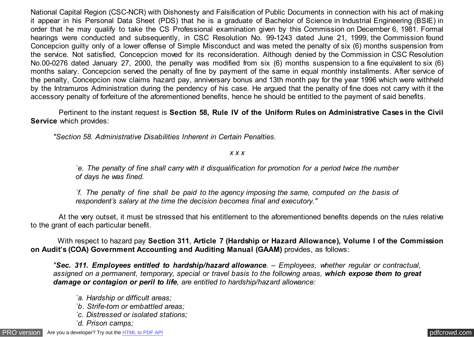National Capital Region (CSC-NCR) with Dishonesty and Falsification of Public Documents in connection with his act of making it appear in his Personal Data Sheet (PDS) that he is a graduate of Bachelor of Science in Industrial Engineering (BSIE) in order that he may qualify to take the CS Professional examination given by this Commission on December 6, 1981. Formal hearings were conducted and subsequently, in CSC Resolution No. 99-1243 dated June 21, 1999, the Commission found Concepcion guilty only of a lower offense of Simple Misconduct and was meted the penalty of six (6) months suspension from the service. Not satisfied, Concepcion moved for its reconsideration. Although denied by the Commission in CSC Resolution No.00-0276 dated January 27, 2000, the penalty was modified from six (6) months suspension to a fine equivalent to six (6) months salary. Concepcion served the penalty of fine by payment of the same in equal monthly installments. After service of the penalty, Concepcion now claims hazard pay, anniversary bonus and 13th month pay for the year 1996 which were withheld by the Intramuros Administration during the pendency of his case. He argued that the penalty of fine does not carry with it the accessory penalty of forfeiture of the aforementioned benefits, hence he should be entitled to the payment of said benefits.

 Pertinent to the instant request is **Section 58, Rule IV of the Uniform Rules on Administrative Cases in the Civil Service** which provides:

*"Section 58. Administrative Disabilities Inherent in Certain Penalties.*

### *x x x*

*`e. The penalty of fine shall carry with it disqualification for promotion for a period twice the number of days he was fined.*

*`f. The penalty of fine shall be paid to the agency imposing the same, computed on the basis of respondent's salary at the time the decision becomes final and executory."*

 At the very outset, it must be stressed that his entitlement to the aforementioned benefits depends on the rules relative to the grant of each particular benefit.

 With respect to hazard pay **Section 311**, **Article 7 (Hardship or Hazard Allowance), Volume I of the Commission on Audit's (COA) Government Accounting and Auditing Manual (GAAM)** provides, as follows:

*"Sec. 311. Employees entitled to hardship/hazard allowance. – Employees, whether regular or contractual, assigned on a permanent, temporary, special or travel basis to the following areas, which expose them to great damage or contagion or peril to life, are entitled to hardship/hazard allowance:*

- *`a. Hardship or difficult areas;*
- *`b. Strife-torn or embattled areas;*
- *`c. Distressed or isolated stations;*
- *`d. Prison camps;*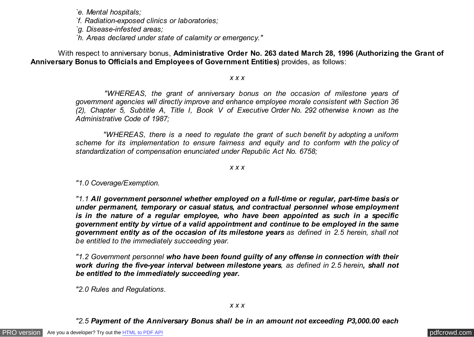*`e. Mental hospitals;*

*`f. Radiation-exposed clinics or laboratories;*

*`g. Disease-infested areas;*

*`h. Areas declared under state of calamity or emergency."*

 With respect to anniversary bonus, **Administrative Order No. 263 dated March 28, 1996 (Authorizing the Grant of Anniversary Bonus to Officials and Employees of Government Entities)** provides, as follows:

#### *x x x*

 *"WHEREAS, the grant of anniversary bonus on the occasion of milestone years of government agencies will directly improve and enhance employee morale consistent with Section 36 (2), Chapter 5, Subtitle A, Title I, Book V of Executive Order No. 292 otherwise known as the Administrative Code of 1987;*

 *"WHEREAS, there is a need to regulate the grant of such benefit by adopting a uniform scheme for its implementation to ensure fairness and equity and to conform with the policy of standardization of compensation enunciated under Republic Act No. 6758;*

#### *x x x*

*"1.0 Coverage/Exemption.*

*"1.1 All government personnel whether employed on a full-time or regular, part-time basis or under permanent, temporary or casual status, and contractual personnel whose employment is in the nature of a regular employee, who have been appointed as such in a specific government entity by virtue of a valid appointment and continue to be employed in the same government entity as of the occasion of its milestone years as defined in 2.5 herein, shall not be entitled to the immediately succeeding year.*

*"1.2 Government personnel who have been found guilty of any offense in connection with their work during the five-year interval between milestone years, as defined in 2.5 herein, shall not be entitled to the immediately succeeding year.*

*"2.0 Rules and Regulations.*

# *"2.5 Payment of the Anniversary Bonus shall be in an amount not exceeding P3,000.00 each*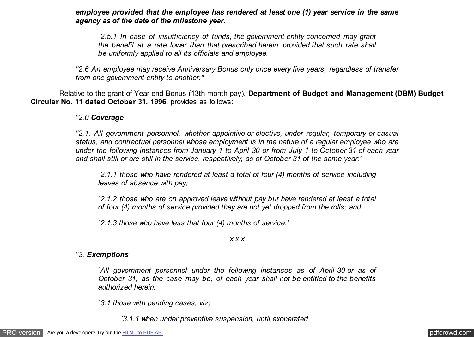*employee provided that the employee has rendered at least one (1) year service in the same agency as of the date of the milestone year.*

*`2.5.1 In case of insufficiency of funds, the government entity concerned may grant the benefit at a rate lower than that prescribed herein, provided that such rate shall be uniformly applied to all its officials and employee.'*

*"2.6 An employee may receive Anniversary Bonus only once every five years, regardless of transfer from one government entity to another."*

 Relative to the grant of Year-end Bonus (13th month pay), **Department of Budget and Management (DBM) Budget Circular No. 11 dated October 31, 1996**, provides as follows:

*"2.0 Coverage -*

*"2.1. All government personnel, whether appointive or elective, under regular, temporary or casual status, and contractual personnel whose employment is in the nature of a regular employee who are under the following instances from January 1 to April 30 or from July 1 to October 31 of each year and shall still or are still in the service, respectively, as of October 31 of the same year:'*

*`2.1.1 those who have rendered at least a total of four (4) months of service including leaves of absence with pay;*

*`2.1.2 those who are on approved leave without pay but have rendered at least a total of four (4) months of service provided they are not yet dropped from the rolls; and*

*`2.1.3 those who have less that four (4) months of service.'*

*x x x*

### *"3. Exemptions*

*`All government personnel under the following instances as of April 30 or as of October 31, as the case may be, of each year shall not be entitled to the benefits authorized herein:*

*`3.1 those with pending cases, viz;*

*`3.1.1 when under preventive suspension, until exonerated*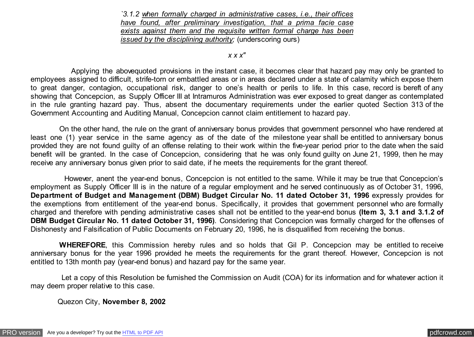*`3.1.2 when formally charged in administrative cases, i.e., their offices have found, after preliminary investigation, that a prima facie case exists against them and the requisite written formal charge has been issued by the disciplining authority;* (underscoring ours)

*x x x"*

 Applying the abovequoted provisions in the instant case, it becomes clear that hazard pay may only be granted to employees assigned to difficult, strife-torn or embattled areas or in areas declared under a state of calamity which expose them to great danger, contagion, occupational risk, danger to one's health or perils to life. In this case, record is bereft of any showing that Concepcion, as Supply Officer III at Intramuros Administration was ever exposed to great danger as contemplated in the rule granting hazard pay. Thus, absent the documentary requirements under the earlier quoted Section 313 of the Government Accounting and Auditing Manual, Concepcion cannot claim entitlement to hazard pay.

 On the other hand, the rule on the grant of anniversary bonus provides that government personnel who have rendered at least one (1) year service in the same agency as of the date of the milestone year shall be entitled to anniversary bonus provided they are not found guilty of an offense relating to their work within the five-year period prior to the date when the said benefit will be granted. In the case of Concepcion, considering that he was only found guilty on June 21, 1999, then he may receive any anniversary bonus given prior to said date, if he meets the requirements for the grant thereof.

 However, anent the year-end bonus, Concepcion is not entitled to the same. While it may be true that Concepcion's employment as Supply Officer III is in the nature of a regular employment and he served continuously as of October 31, 1996, **Department of Budget and Management (DBM) Budget Circular No. 11 dated October 31, 1996** expressly provides for the exemptions from entitlement of the year-end bonus. Specifically, it provides that government personnel who are formally charged and therefore with pending administrative cases shall not be entitled to the year-end bonus **(Item 3, 3.1 and 3.1.2 of DBM Budget Circular No. 11 dated October 31, 1996)**. Considering that Concepcion was formally charged for the offenses of Dishonesty and Falsification of Public Documents on February 20, 1996, he is disqualified from receiving the bonus.

 **WHEREFORE**, this Commission hereby rules and so holds that Gil P. Concepcion may be entitled to receive anniversary bonus for the year 1996 provided he meets the requirements for the grant thereof. However, Concepcion is not entitled to 13th month pay (year-end bonus) and hazard pay for the same year.

 Let a copy of this Resolution be furnished the Commission on Audit (COA) for its information and for whatever action it may deem proper relative to this case.

Quezon City, **November 8, 2002**